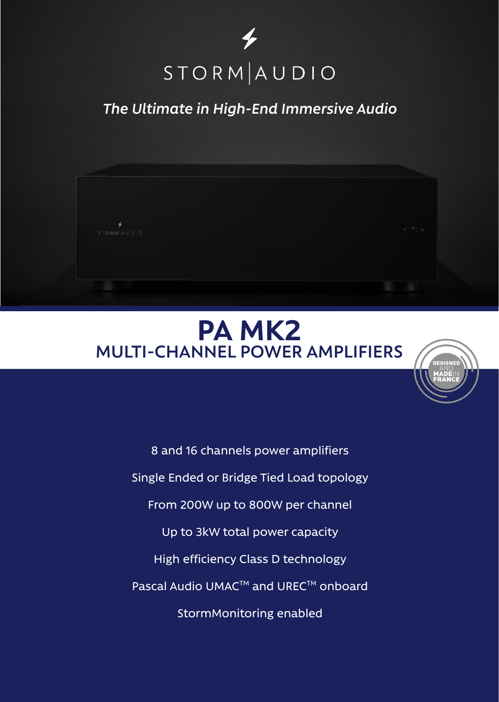

## *The Ultimate in High-End Immersive Audio*



## **PA MK2 MULTI-CHANNEL POWER AMPLIFIERS**



8 and 16 channels power amplifiers Single Ended or Bridge Tied Load topology From 200W up to 800W per channel Up to 3kW total power capacity High efficiency Class D technology Pascal Audio UMAC™ and UREC™ onboard StormMonitoring enabled